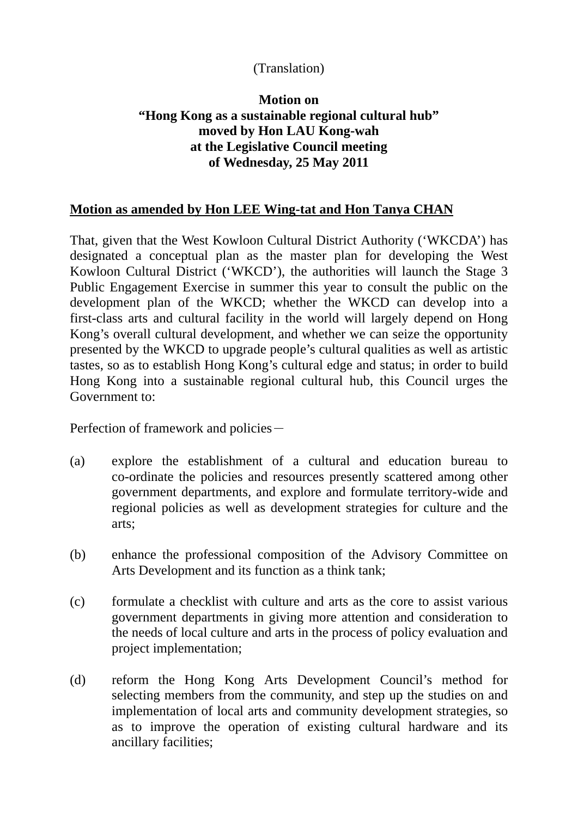## (Translation)

## **Motion on "Hong Kong as a sustainable regional cultural hub" moved by Hon LAU Kong-wah at the Legislative Council meeting of Wednesday, 25 May 2011**

## **Motion as amended by Hon LEE Wing-tat and Hon Tanya CHAN**

That, given that the West Kowloon Cultural District Authority ('WKCDA') has designated a conceptual plan as the master plan for developing the West Kowloon Cultural District ('WKCD'), the authorities will launch the Stage 3 Public Engagement Exercise in summer this year to consult the public on the development plan of the WKCD; whether the WKCD can develop into a first-class arts and cultural facility in the world will largely depend on Hong Kong's overall cultural development, and whether we can seize the opportunity presented by the WKCD to upgrade people's cultural qualities as well as artistic tastes, so as to establish Hong Kong's cultural edge and status; in order to build Hong Kong into a sustainable regional cultural hub, this Council urges the Government to:

Perfection of framework and policies-

- (a) explore the establishment of a cultural and education bureau to co-ordinate the policies and resources presently scattered among other government departments, and explore and formulate territory-wide and regional policies as well as development strategies for culture and the arts;
- (b) enhance the professional composition of the Advisory Committee on Arts Development and its function as a think tank;
- (c) formulate a checklist with culture and arts as the core to assist various government departments in giving more attention and consideration to the needs of local culture and arts in the process of policy evaluation and project implementation;
- (d) reform the Hong Kong Arts Development Council's method for selecting members from the community, and step up the studies on and implementation of local arts and community development strategies, so as to improve the operation of existing cultural hardware and its ancillary facilities;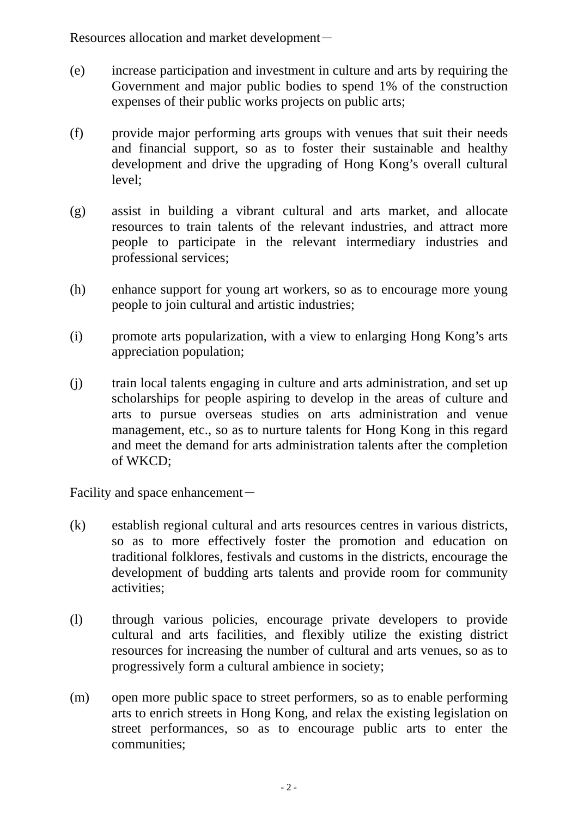Resources allocation and market development-

- (e) increase participation and investment in culture and arts by requiring the Government and major public bodies to spend 1% of the construction expenses of their public works projects on public arts;
- (f) provide major performing arts groups with venues that suit their needs and financial support, so as to foster their sustainable and healthy development and drive the upgrading of Hong Kong's overall cultural level;
- (g) assist in building a vibrant cultural and arts market, and allocate resources to train talents of the relevant industries, and attract more people to participate in the relevant intermediary industries and professional services;
- (h) enhance support for young art workers, so as to encourage more young people to join cultural and artistic industries;
- (i) promote arts popularization, with a view to enlarging Hong Kong's arts appreciation population;
- (j) train local talents engaging in culture and arts administration, and set up scholarships for people aspiring to develop in the areas of culture and arts to pursue overseas studies on arts administration and venue management, etc., so as to nurture talents for Hong Kong in this regard and meet the demand for arts administration talents after the completion of WKCD;

Facility and space enhancement $-$ 

- (k) establish regional cultural and arts resources centres in various districts, so as to more effectively foster the promotion and education on traditional folklores, festivals and customs in the districts, encourage the development of budding arts talents and provide room for community activities;
- (l) through various policies, encourage private developers to provide cultural and arts facilities, and flexibly utilize the existing district resources for increasing the number of cultural and arts venues, so as to progressively form a cultural ambience in society;
- (m) open more public space to street performers, so as to enable performing arts to enrich streets in Hong Kong, and relax the existing legislation on street performances, so as to encourage public arts to enter the communities;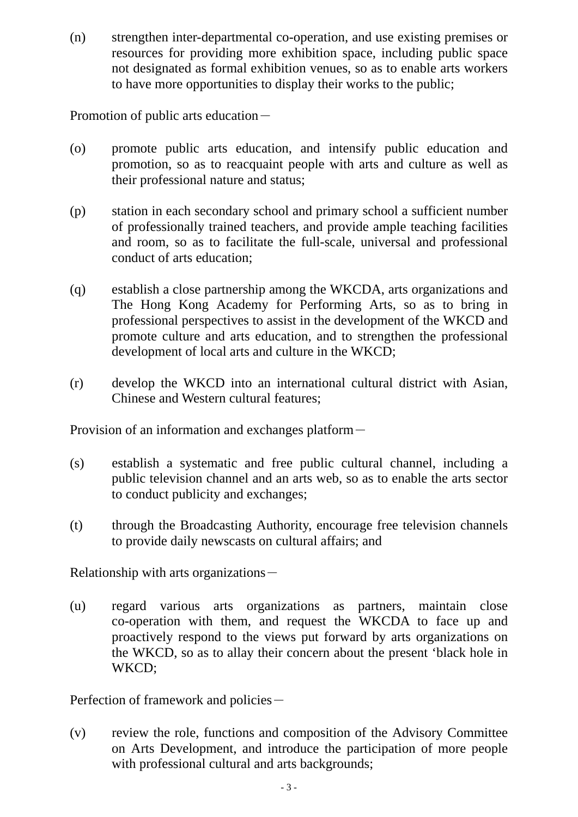(n) strengthen inter-departmental co-operation, and use existing premises or resources for providing more exhibition space, including public space not designated as formal exhibition venues, so as to enable arts workers to have more opportunities to display their works to the public;

Promotion of public arts education-

- (o) promote public arts education, and intensify public education and promotion, so as to reacquaint people with arts and culture as well as their professional nature and status;
- (p) station in each secondary school and primary school a sufficient number of professionally trained teachers, and provide ample teaching facilities and room, so as to facilitate the full-scale, universal and professional conduct of arts education;
- (q) establish a close partnership among the WKCDA, arts organizations and The Hong Kong Academy for Performing Arts, so as to bring in professional perspectives to assist in the development of the WKCD and promote culture and arts education, and to strengthen the professional development of local arts and culture in the WKCD;
- (r) develop the WKCD into an international cultural district with Asian, Chinese and Western cultural features;

Provision of an information and exchanges platform-

- (s) establish a systematic and free public cultural channel, including a public television channel and an arts web, so as to enable the arts sector to conduct publicity and exchanges;
- (t) through the Broadcasting Authority, encourage free television channels to provide daily newscasts on cultural affairs; and

Relationship with arts organizations $-$ 

(u) regard various arts organizations as partners, maintain close co-operation with them, and request the WKCDA to face up and proactively respond to the views put forward by arts organizations on the WKCD, so as to allay their concern about the present 'black hole in WKCD;

Perfection of framework and policies-

(v) review the role, functions and composition of the Advisory Committee on Arts Development, and introduce the participation of more people with professional cultural and arts backgrounds;